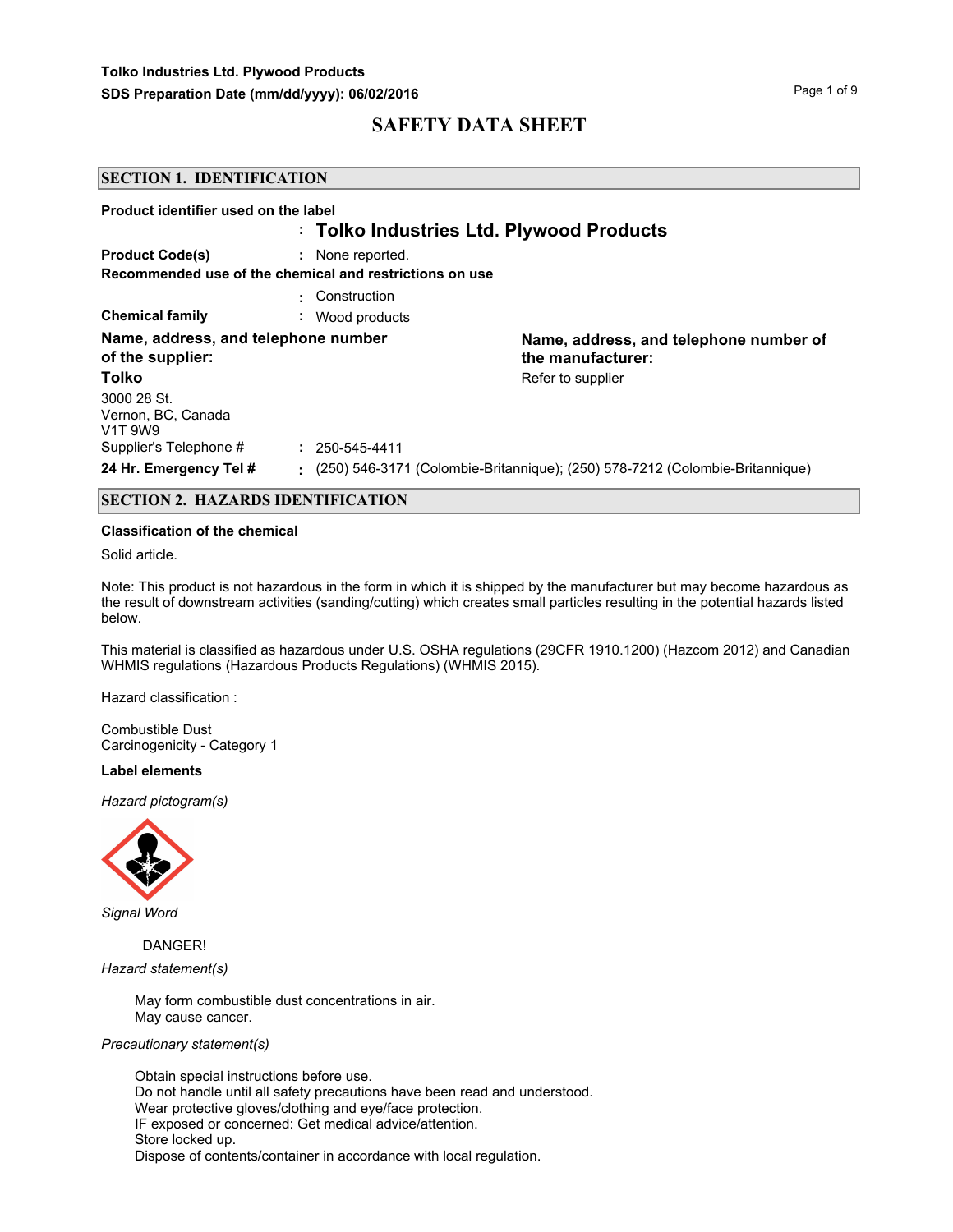#### **SECTION 1. IDENTIFICATION**

| Product identifier used on the label                      |                                                         |                                                                              |
|-----------------------------------------------------------|---------------------------------------------------------|------------------------------------------------------------------------------|
|                                                           | : Tolko Industries Ltd. Plywood Products                |                                                                              |
| <b>Product Code(s)</b>                                    | : None reported.                                        |                                                                              |
|                                                           | Recommended use of the chemical and restrictions on use |                                                                              |
|                                                           | : Construction                                          |                                                                              |
| <b>Chemical family</b>                                    | Wood products<br>$\sim$                                 |                                                                              |
| Name, address, and telephone number<br>of the supplier:   |                                                         | Name, address, and telephone number of<br>the manufacturer:                  |
| Tolko                                                     |                                                         | Refer to supplier                                                            |
| 3000 28 St.<br>Vernon, BC, Canada<br>V <sub>1</sub> T 9W9 |                                                         |                                                                              |
| Supplier's Telephone #                                    | $: 250 - 545 - 4411$                                    |                                                                              |
| 24 Hr. Emergency Tel #                                    |                                                         | (250) 546-3171 (Colombie-Britannique); (250) 578-7212 (Colombie-Britannique) |

#### **SECTION 2. HAZARDS IDENTIFICATION**

#### **Classification of the chemical**

Solid article.

Note: This product is not hazardous in the form in which it is shipped by the manufacturer but may become hazardous as the result of downstream activities (sanding/cutting) which creates small particles resulting in the potential hazards listed below.

This material is classified as hazardous under U.S. OSHA regulations (29CFR 1910.1200) (Hazcom 2012) and Canadian WHMIS regulations (Hazardous Products Regulations) (WHMIS 2015).

Hazard classification :

Combustible Dust Carcinogenicity - Category 1

#### **Label elements**

*Hazard pictogram(s)*



*Signal Word*

 DANGER! *Hazard statement(s)*

> May form combustible dust concentrations in air. May cause cancer.

### *Precautionary statement(s)*

Obtain special instructions before use. Do not handle until all safety precautions have been read and understood. Wear protective gloves/clothing and eye/face protection. IF exposed or concerned: Get medical advice/attention. Store locked up. Dispose of contents/container in accordance with local regulation.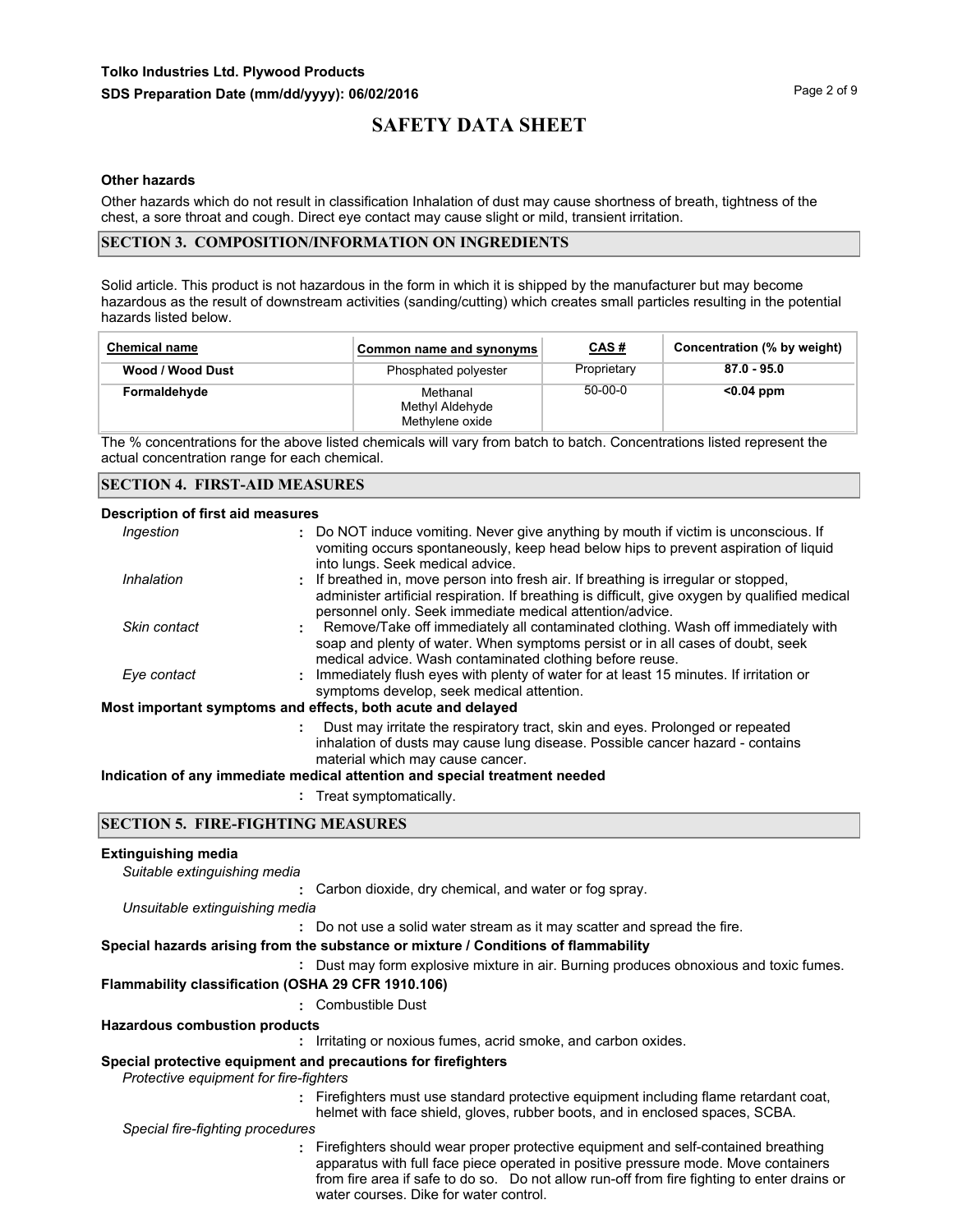#### **Other hazards**

Other hazards which do not result in classification Inhalation of dust may cause shortness of breath, tightness of the chest, a sore throat and cough. Direct eye contact may cause slight or mild, transient irritation.

#### **SECTION 3. COMPOSITION/INFORMATION ON INGREDIENTS**

Solid article. This product is not hazardous in the form in which it is shipped by the manufacturer but may become hazardous as the result of downstream activities (sanding/cutting) which creates small particles resulting in the potential hazards listed below.

| <b>Chemical name</b> | Common name and synonyms                       | <u>CAS#</u> | Concentration (% by weight) |
|----------------------|------------------------------------------------|-------------|-----------------------------|
| Wood / Wood Dust     | Phosphated polyester                           | Proprietary | $87.0 - 95.0$               |
| Formaldehyde         | Methanal<br>Methyl Aldehyde<br>Methylene oxide | $50-00-0$   | $0.04$ ppm                  |

The % concentrations for the above listed chemicals will vary from batch to batch. Concentrations listed represent the actual concentration range for each chemical.

#### **Description of first aid measures**

| Ingestion    | : Do NOT induce vomiting. Never give anything by mouth if victim is unconscious. If<br>vomiting occurs spontaneously, keep head below hips to prevent aspiration of liquid<br>into lungs. Seek medical advice.                                    |
|--------------|---------------------------------------------------------------------------------------------------------------------------------------------------------------------------------------------------------------------------------------------------|
| Inhalation   | : If breathed in, move person into fresh air. If breathing is irregular or stopped,<br>administer artificial respiration. If breathing is difficult, give oxygen by qualified medical<br>personnel only. Seek immediate medical attention/advice. |
| Skin contact | : Remove/Take off immediately all contaminated clothing. Wash off immediately with<br>soap and plenty of water. When symptoms persist or in all cases of doubt, seek<br>medical advice. Wash contaminated clothing before reuse.                  |
| Eye contact  | : Immediately flush eyes with plenty of water for at least 15 minutes. If irritation or<br>symptoms develop, seek medical attention.                                                                                                              |
|              | Most important symptoms and effects, both acute and delayed                                                                                                                                                                                       |
|              | Dust may irritate the respiratory tract, skin and eyes. Prolonged or repeated<br>inhalation of dusts may cause lung disease. Possible cancer hazard - contains<br>material which may cause cancer.                                                |
|              |                                                                                                                                                                                                                                                   |

#### **Indication of any immediate medical attention and special treatment needed**

**:** Treat symptomatically.

#### **SECTION 5. FIRE-FIGHTING MEASURES**

### **Extinguishing media :** Carbon dioxide, dry chemical, and water or fog spray. *Suitable extinguishing media* **:** Do not use a solid water stream as it may scatter and spread the fire. *Unsuitable extinguishing media* **:** Dust may form explosive mixture in air. Burning produces obnoxious and toxic fumes. **Special hazards arising from the substance or mixture / Conditions of flammability Flammability classification (OSHA 29 CFR 1910.106) :** Combustible Dust **:** Irritating or noxious fumes, acrid smoke, and carbon oxides. **Hazardous combustion products Special protective equipment and precautions for firefighters**  *Protective equipment for fire-fighters* **:** Firefighters must use standard protective equipment including flame retardant coat, helmet with face shield, gloves, rubber boots, and in enclosed spaces, SCBA. **:** Firefighters should wear proper protective equipment and self-contained breathing *Special fire-fighting procedures* apparatus with full face piece operated in positive pressure mode. Move containers from fire area if safe to do so. Do not allow run-off from fire fighting to enter drains or water courses. Dike for water control.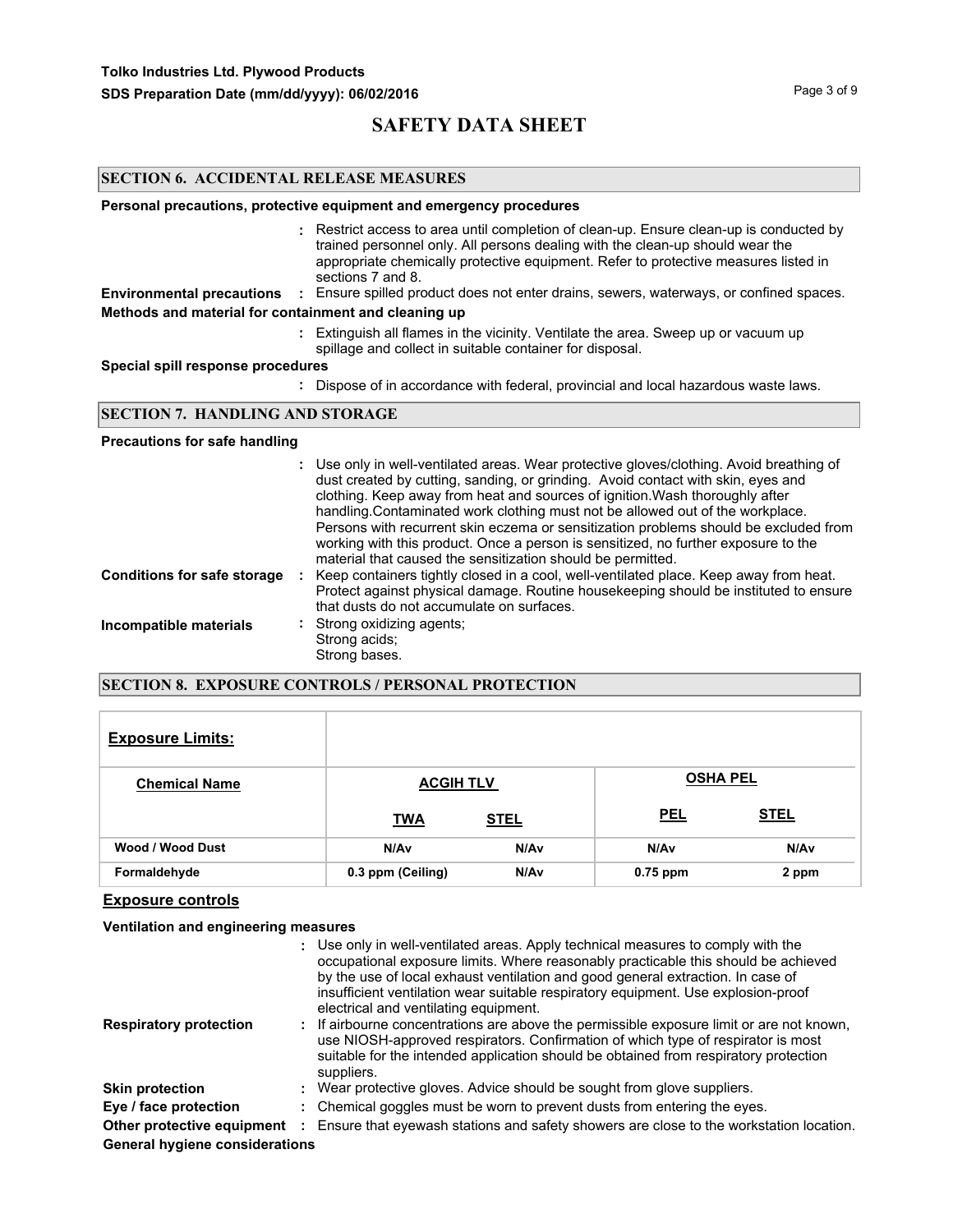#### **SECTION 6. ACCIDENTAL RELEASE MEASURES**

#### **Personal precautions, protective equipment and emergency procedures**

Restrict access to area until completion of clean-up. Ensure clean-up is conducted by **:** trained personnel only. All persons dealing with the clean-up should wear the appropriate chemically protective equipment. Refer to protective measures listed in sections 7 and 8.

**Environmental precautions :** Ensure spilled product does not enter drains, sewers, waterways, or confined spaces.

### **Methods and material for containment and cleaning up**

Extinguish all flames in the vicinity. Ventilate the area. Sweep up or vacuum up **:** spillage and collect in suitable container for disposal.

#### **Special spill response procedures**

**:** Dispose of in accordance with federal, provincial and local hazardous waste laws.

#### **SECTION 7. HANDLING AND STORAGE**

#### **Precautions for safe handling**

|                                    | : Use only in well-ventilated areas. Wear protective gloves/clothing. Avoid breathing of<br>dust created by cutting, sanding, or grinding. Avoid contact with skin, eyes and<br>clothing. Keep away from heat and sources of ignition. Wash thoroughly after<br>handling. Contaminated work clothing must not be allowed out of the workplace.<br>Persons with recurrent skin eczema or sensitization problems should be excluded from<br>working with this product. Once a person is sensitized, no further exposure to the<br>material that caused the sensitization should be permitted. |
|------------------------------------|---------------------------------------------------------------------------------------------------------------------------------------------------------------------------------------------------------------------------------------------------------------------------------------------------------------------------------------------------------------------------------------------------------------------------------------------------------------------------------------------------------------------------------------------------------------------------------------------|
| <b>Conditions for safe storage</b> | Keep containers tightly closed in a cool, well-ventilated place. Keep away from heat.<br>Protect against physical damage. Routine housekeeping should be instituted to ensure<br>that dusts do not accumulate on surfaces.                                                                                                                                                                                                                                                                                                                                                                  |
| Incompatible materials             | : Strong oxidizing agents;<br>Strong acids;<br>Strong bases.                                                                                                                                                                                                                                                                                                                                                                                                                                                                                                                                |

#### **SECTION 8. EXPOSURE CONTROLS / PERSONAL PROTECTION**

| <b>Exposure Limits:</b> |                   |                  |                 |             |
|-------------------------|-------------------|------------------|-----------------|-------------|
| <b>Chemical Name</b>    | <b>ACGIH TLV</b>  |                  | <b>OSHA PEL</b> |             |
|                         | <b>TWA</b>        | <b>STEL</b>      | <b>PEL</b>      | <b>STEL</b> |
| <b>Wood / Wood Dust</b> | N/Av              | N/A <sub>v</sub> | N/Av            | N/Av        |
| Formaldehyde            | 0.3 ppm (Ceiling) | N/Av             | $0.75$ ppm      | 2 ppm       |

### **Exposure controls**

#### **Ventilation and engineering measures**

|                                       | : Use only in well-ventilated areas. Apply technical measures to comply with the<br>occupational exposure limits. Where reasonably practicable this should be achieved<br>by the use of local exhaust ventilation and good general extraction. In case of<br>insufficient ventilation wear suitable respiratory equipment. Use explosion-proof<br>electrical and ventilating equipment. |
|---------------------------------------|-----------------------------------------------------------------------------------------------------------------------------------------------------------------------------------------------------------------------------------------------------------------------------------------------------------------------------------------------------------------------------------------|
| <b>Respiratory protection</b>         | : If airbourne concentrations are above the permissible exposure limit or are not known,<br>use NIOSH-approved respirators. Confirmation of which type of respirator is most<br>suitable for the intended application should be obtained from respiratory protection<br>suppliers.                                                                                                      |
| <b>Skin protection</b>                | : Wear protective gloves. Advice should be sought from glove suppliers.                                                                                                                                                                                                                                                                                                                 |
| Eye / face protection                 | : Chemical goggles must be worn to prevent dusts from entering the eyes.                                                                                                                                                                                                                                                                                                                |
| Other protective equipment :          | Ensure that eyewash stations and safety showers are close to the workstation location.                                                                                                                                                                                                                                                                                                  |
| <b>General hygiene considerations</b> |                                                                                                                                                                                                                                                                                                                                                                                         |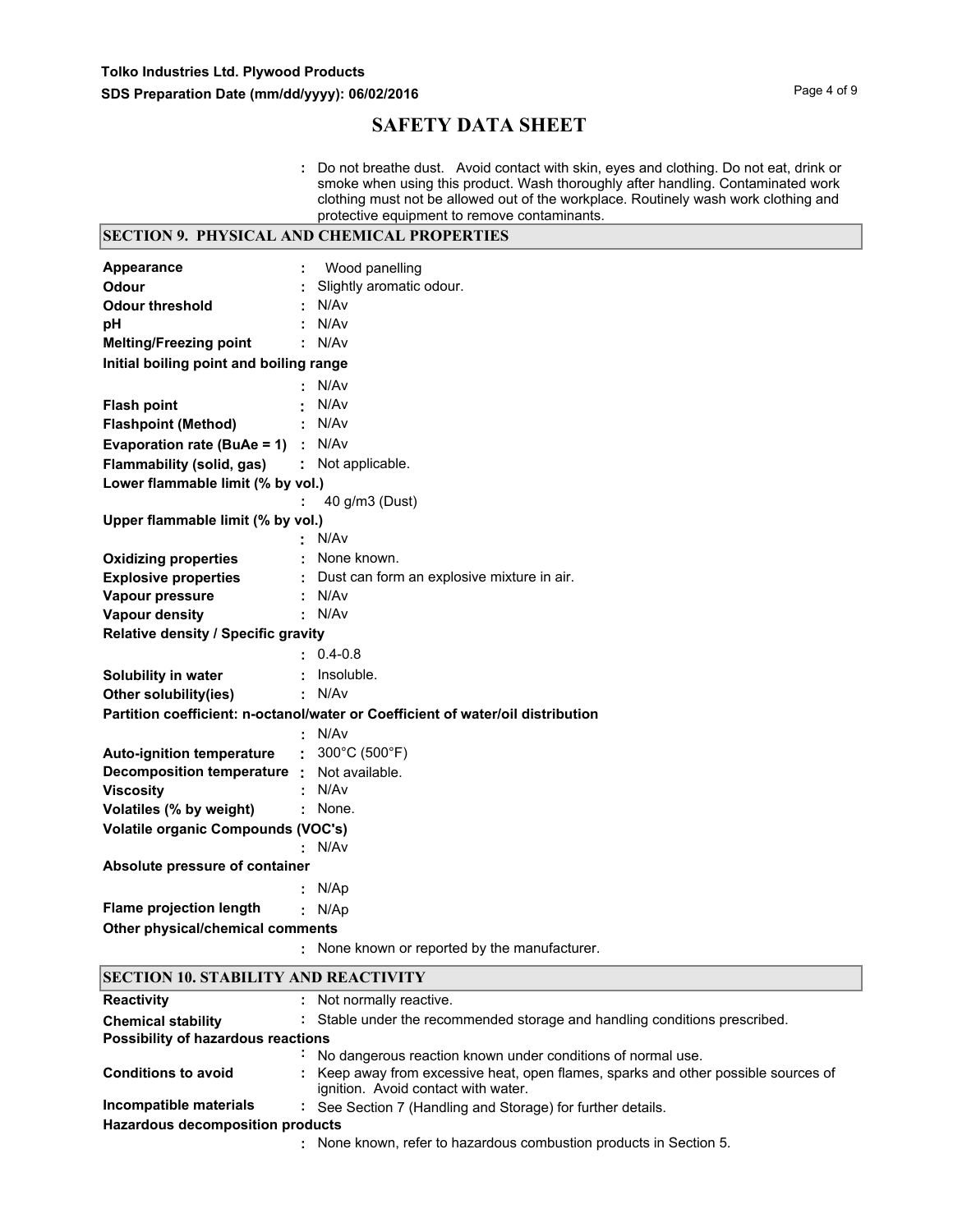**:** Do not breathe dust. Avoid contact with skin, eyes and clothing. Do not eat, drink or smoke when using this product. Wash thoroughly after handling. Contaminated work clothing must not be allowed out of the workplace. Routinely wash work clothing and protective equipment to remove contaminants.

|                                             |   | <b>SECTION 9. PHYSICAL AND CHEMICAL PROPERTIES</b>                              |  |  |
|---------------------------------------------|---|---------------------------------------------------------------------------------|--|--|
| Appearance                                  | ÷ | Wood panelling                                                                  |  |  |
| Odour                                       |   | Slightly aromatic odour.                                                        |  |  |
| <b>Odour threshold</b>                      |   | N/Av                                                                            |  |  |
| рH                                          |   | N/Av                                                                            |  |  |
| <b>Melting/Freezing point</b>               |   | : N/Av                                                                          |  |  |
| Initial boiling point and boiling range     |   |                                                                                 |  |  |
|                                             |   | N/Av                                                                            |  |  |
| <b>Flash point</b>                          |   | N/Av                                                                            |  |  |
| <b>Flashpoint (Method)</b>                  |   | N/Av                                                                            |  |  |
| <b>Evaporation rate (BuAe = 1)</b> : $N/Av$ |   |                                                                                 |  |  |
| Flammability (solid, gas)                   |   | : Not applicable.                                                               |  |  |
| Lower flammable limit (% by vol.)           |   |                                                                                 |  |  |
|                                             |   | 40 g/m3 (Dust)                                                                  |  |  |
| Upper flammable limit (% by vol.)           |   |                                                                                 |  |  |
|                                             |   | N/Av                                                                            |  |  |
| <b>Oxidizing properties</b>                 |   | : None known.                                                                   |  |  |
| <b>Explosive properties</b>                 |   | : Dust can form an explosive mixture in air.                                    |  |  |
| Vapour pressure                             |   | : N/Av                                                                          |  |  |
| <b>Vapour density</b>                       |   | : N/Av                                                                          |  |  |
| Relative density / Specific gravity         |   |                                                                                 |  |  |
|                                             |   | $: 0.4 - 0.8$                                                                   |  |  |
| Solubility in water                         |   | : Insoluble.                                                                    |  |  |
| Other solubility(ies)                       |   | : N/Av                                                                          |  |  |
|                                             |   | Partition coefficient: n-octanol/water or Coefficient of water/oil distribution |  |  |
|                                             |   | : N/Av                                                                          |  |  |
| <b>Auto-ignition temperature</b>            |   | : $300^{\circ}$ C (500 $^{\circ}$ F)                                            |  |  |
| Decomposition temperature : Not available.  |   |                                                                                 |  |  |
| <b>Viscosity</b>                            |   | : N/Av                                                                          |  |  |
| Volatiles (% by weight)                     |   | : None.                                                                         |  |  |
| <b>Volatile organic Compounds (VOC's)</b>   |   |                                                                                 |  |  |
|                                             |   | : N/Av                                                                          |  |  |
| Absolute pressure of container              |   |                                                                                 |  |  |
|                                             |   | : $N/Ap$                                                                        |  |  |
| <b>Flame projection length</b>              |   | : N/Ap                                                                          |  |  |
| Other physical/chemical comments            |   |                                                                                 |  |  |
|                                             |   | : None known or reported by the manufacturer.                                   |  |  |

### **SECTION 10. STABILITY AND REACTIVITY**

| <b>Reactivity</b>                       | : Not normally reactive.                                                                                                  |
|-----------------------------------------|---------------------------------------------------------------------------------------------------------------------------|
| <b>Chemical stability</b>               | : Stable under the recommended storage and handling conditions prescribed.                                                |
| Possibility of hazardous reactions      |                                                                                                                           |
|                                         | No dangerous reaction known under conditions of normal use.                                                               |
| <b>Conditions to avoid</b>              | : Keep away from excessive heat, open flames, sparks and other possible sources of<br>ignition. Avoid contact with water. |
| Incompatible materials                  | : See Section 7 (Handling and Storage) for further details.                                                               |
| <b>Hazardous decomposition products</b> |                                                                                                                           |
|                                         | : None known, refer to hazardous combustion products in Section 5.                                                        |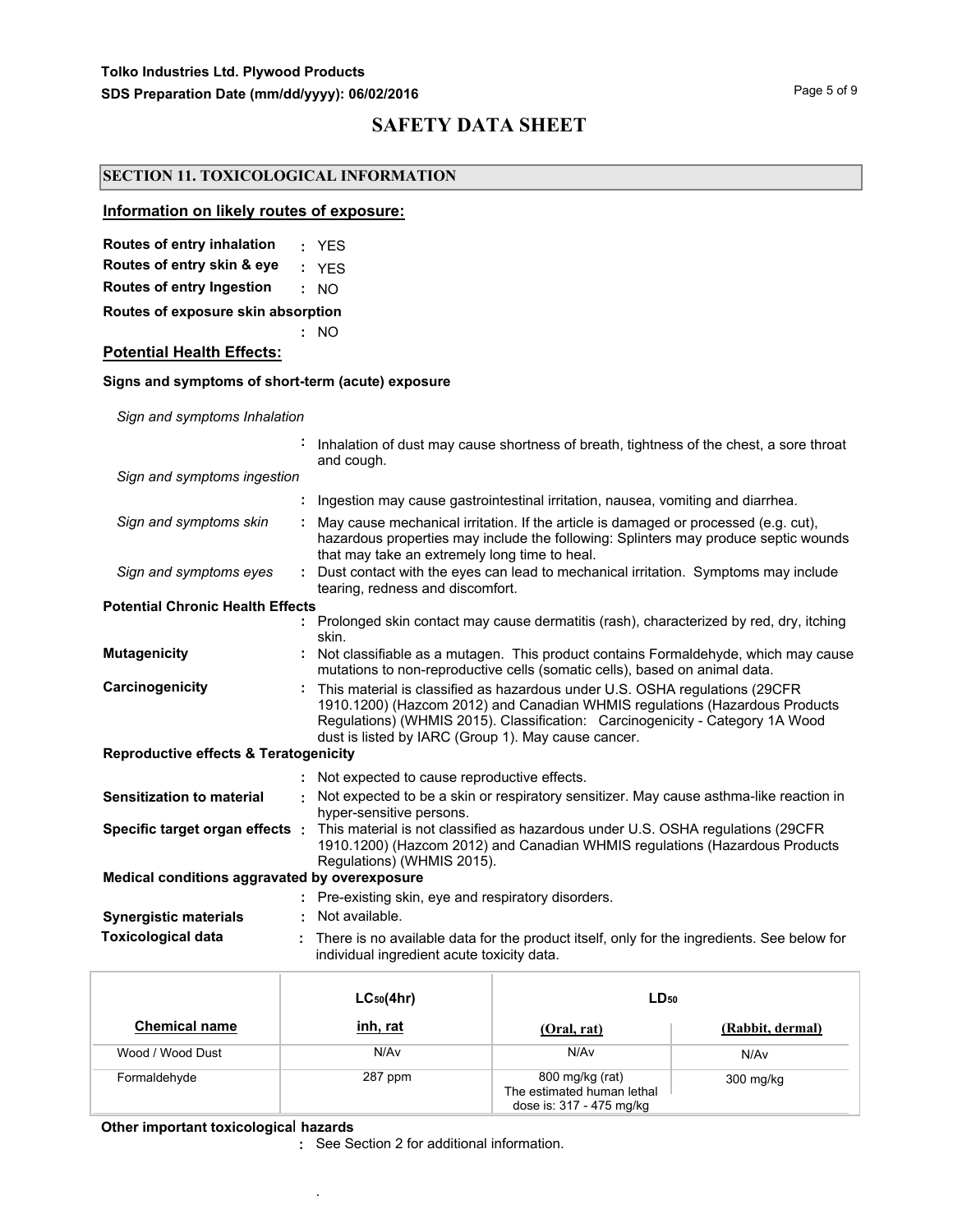### **SECTION 11. TOXICOLOGICAL INFORMATION**

#### **Information on likely routes of exposure:**

| Routes of entry inhalation | YES |  |
|----------------------------|-----|--|
|----------------------------|-----|--|

**Routes of entry skin & eye :** YES

**Routes of entry Ingestion :** NO

**Routes of exposure skin absorption**

**Potential Health Effects:**

## **Signs and symptoms of short-term (acute) exposure**

**:** NO

*Sign and symptoms Inhalation*

|                                                  |    | Inhalation of dust may cause shortness of breath, tightness of the chest, a sore throat<br>and cough.                                                                                                                                                                                              |
|--------------------------------------------------|----|----------------------------------------------------------------------------------------------------------------------------------------------------------------------------------------------------------------------------------------------------------------------------------------------------|
| Sign and symptoms ingestion                      |    |                                                                                                                                                                                                                                                                                                    |
|                                                  |    | Ingestion may cause gastrointestinal irritation, nausea, vomiting and diarrhea.                                                                                                                                                                                                                    |
| Sign and symptoms skin                           |    | May cause mechanical irritation. If the article is damaged or processed (e.g. cut),<br>hazardous properties may include the following: Splinters may produce septic wounds<br>that may take an extremely long time to heal.                                                                        |
| Sign and symptoms eyes                           | ÷. | Dust contact with the eyes can lead to mechanical irritation. Symptoms may include<br>tearing, redness and discomfort.                                                                                                                                                                             |
| <b>Potential Chronic Health Effects</b>          |    |                                                                                                                                                                                                                                                                                                    |
|                                                  |    | Prolonged skin contact may cause dermatitis (rash), characterized by red, dry, itching<br>skin.                                                                                                                                                                                                    |
| <b>Mutagenicity</b>                              |    | Not classifiable as a mutagen. This product contains Formaldehyde, which may cause<br>mutations to non-reproductive cells (somatic cells), based on animal data.                                                                                                                                   |
| Carcinogenicity                                  |    | This material is classified as hazardous under U.S. OSHA regulations (29CFR<br>1910.1200) (Hazcom 2012) and Canadian WHMIS regulations (Hazardous Products<br>Regulations) (WHMIS 2015). Classification: Carcinogenicity - Category 1A Wood<br>dust is listed by IARC (Group 1). May cause cancer. |
| <b>Reproductive effects &amp; Teratogenicity</b> |    |                                                                                                                                                                                                                                                                                                    |
|                                                  |    | Not expected to cause reproductive effects.                                                                                                                                                                                                                                                        |
| <b>Sensitization to material</b>                 |    | Not expected to be a skin or respiratory sensitizer. May cause asthma-like reaction in<br>hyper-sensitive persons.                                                                                                                                                                                 |
| Specific target organ effects :                  |    | This material is not classified as hazardous under U.S. OSHA regulations (29CFR<br>1910.1200) (Hazcom 2012) and Canadian WHMIS regulations (Hazardous Products<br>Regulations) (WHMIS 2015).                                                                                                       |
| Medical conditions aggravated by overexposure    |    |                                                                                                                                                                                                                                                                                                    |
|                                                  |    | : Pre-existing skin, eye and respiratory disorders.                                                                                                                                                                                                                                                |
| <b>Synergistic materials</b>                     |    | Not available.                                                                                                                                                                                                                                                                                     |
| <b>Toxicological data</b>                        |    | There is no available data for the product itself, only for the ingredients. See below for<br>individual ingredient acute toxicity data.                                                                                                                                                           |

|                      | $LC_{50}(4hr)$ | $LD_{50}$                                                                 |                  |  |
|----------------------|----------------|---------------------------------------------------------------------------|------------------|--|
| <b>Chemical name</b> | inh, rat       | (Oral, rat)                                                               | (Rabbit, dermal) |  |
| Wood / Wood Dust     | N/Av           | N/Av                                                                      | N/Av             |  |
| Formaldehyde         | 287 ppm        | 800 mg/kg (rat)<br>The estimated human lethal<br>dose is: 317 - 475 mg/kg | 300 mg/kg        |  |

**Other important toxicologica**l **hazards**

.

**:** See Section 2 for additional information.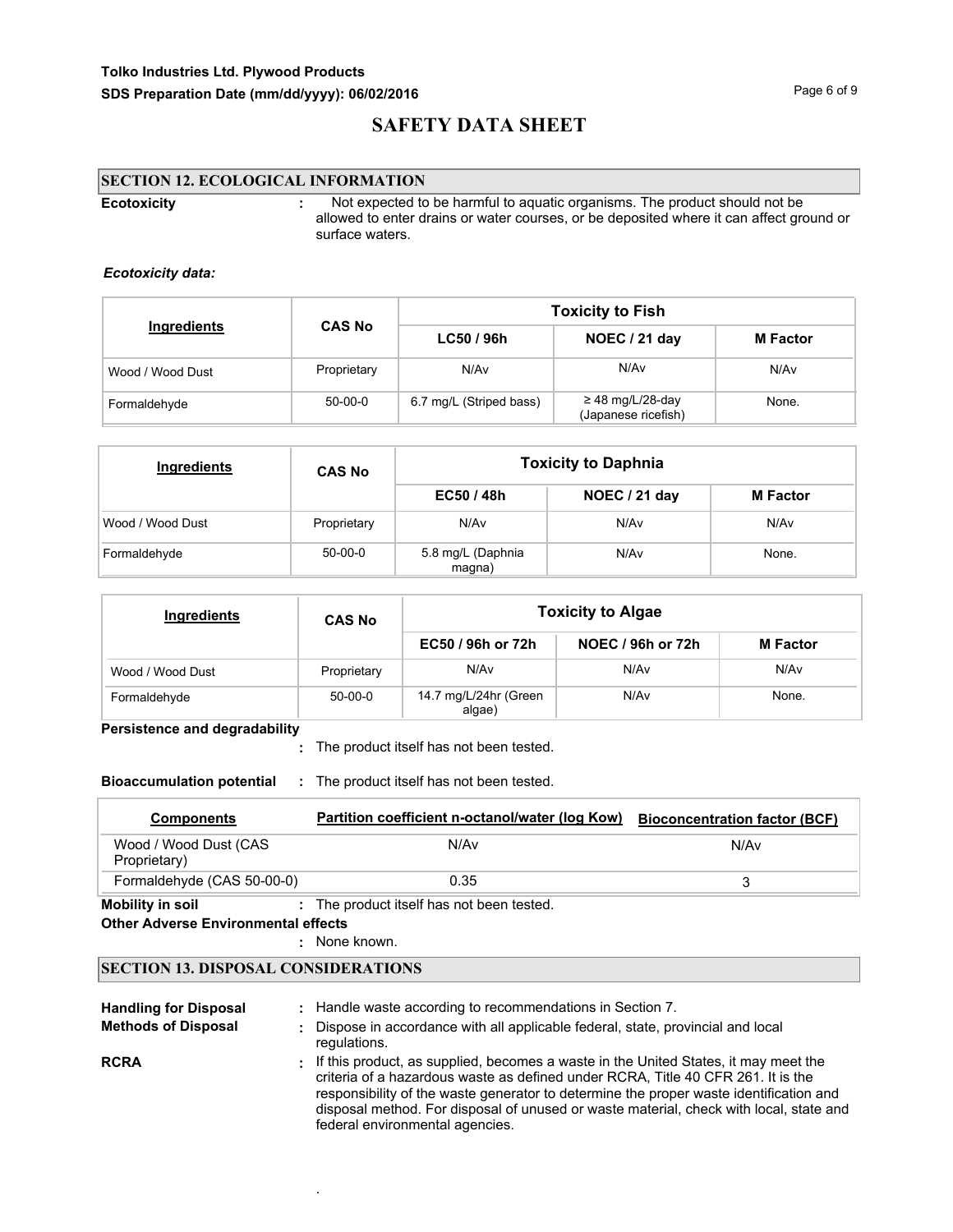## **Tolko Industries Ltd. Plywood Products SDS Preparation Date (mm/dd/yyyy): 06/02/2016 Page 6 of 9 Page 6 of 9**

# **SAFETY DATA SHEET**

## **SECTION 12. ECOLOGICAL INFORMATION**

| <b>Ecotoxicity</b> | Not expected to be harmful to aguatic organisms. The product should not be<br>allowed to enter drains or water courses, or be deposited where it can affect ground or<br>surface waters. |
|--------------------|------------------------------------------------------------------------------------------------------------------------------------------------------------------------------------------|
|                    |                                                                                                                                                                                          |

#### *Ecotoxicity data:*

|                  |               | <b>Toxicity to Fish</b> |                                              |                 |  |  |
|------------------|---------------|-------------------------|----------------------------------------------|-----------------|--|--|
| Ingredients      | <b>CAS No</b> | LC50/96h                | NOEC / 21 day                                | <b>M</b> Factor |  |  |
| Wood / Wood Dust | Proprietary   | N/A <sub>v</sub>        | N/Av                                         | N/Av            |  |  |
| Formaldehyde     | $50-00-0$     | 6.7 mg/L (Striped bass) | $\geq$ 48 mg/L/28-day<br>(Japanese ricefish) | None.           |  |  |

| <b>Ingredients</b> | <b>CAS No</b> | <b>Toxicity to Daphnia</b>  |               |                 |  |  |  |
|--------------------|---------------|-----------------------------|---------------|-----------------|--|--|--|
|                    |               | EC50/48h                    | NOEC / 21 day | <b>M</b> Factor |  |  |  |
| Wood / Wood Dust   | Proprietary   | N/Av                        | N/Av          | N/Av            |  |  |  |
| Formaldehyde       | 50-00-0       | 5.8 mg/L (Daphnia<br>magna) | N/Av          | None.           |  |  |  |

| <b>Ingredients</b> | <b>CAS No</b> | <b>Toxicity to Algae</b>        |                   |                 |  |  |
|--------------------|---------------|---------------------------------|-------------------|-----------------|--|--|
|                    |               | EC50 / 96h or 72h               | NOEC / 96h or 72h | <b>M</b> Factor |  |  |
| Wood / Wood Dust   | Proprietary   | N/Av                            | N/Av              | N/Av            |  |  |
| Formaldehyde       | $50-00-0$     | 14.7 mg/L/24hr (Green<br>algae) | N/Av              | None.           |  |  |

### **Persistence and degradability**

The product itself has not been tested. **:**

**Bioaccumulation potential :** The product itself has not been tested.

| <b>Components</b>                     | Partition coefficient n-octanol/water (log Kow) | <b>Bioconcentration factor (BCF)</b> |
|---------------------------------------|-------------------------------------------------|--------------------------------------|
| Wood / Wood Dust (CAS<br>Proprietary) | N/Av                                            | N/Av                                 |
| Formaldehyde (CAS 50-00-0)            | 0.35                                            |                                      |
| Mobility in soil                      | : The product itself has not been tested.       |                                      |

#### **Other Adverse Environmental effects**

: None known.

.

## **SECTION 13. DISPOSAL CONSIDERATIONS**

| <b>Handling for Disposal</b> | : Handle waste according to recommendations in Section 7.                                                                                                                                                                                                                                                                                                                                        |
|------------------------------|--------------------------------------------------------------------------------------------------------------------------------------------------------------------------------------------------------------------------------------------------------------------------------------------------------------------------------------------------------------------------------------------------|
| <b>Methods of Disposal</b>   | : Dispose in accordance with all applicable federal, state, provincial and local<br>regulations.                                                                                                                                                                                                                                                                                                 |
| <b>RCRA</b>                  | : If this product, as supplied, becomes a waste in the United States, it may meet the<br>criteria of a hazardous waste as defined under RCRA, Title 40 CFR 261. It is the<br>responsibility of the waste generator to determine the proper waste identification and<br>disposal method. For disposal of unused or waste material, check with local, state and<br>federal environmental agencies. |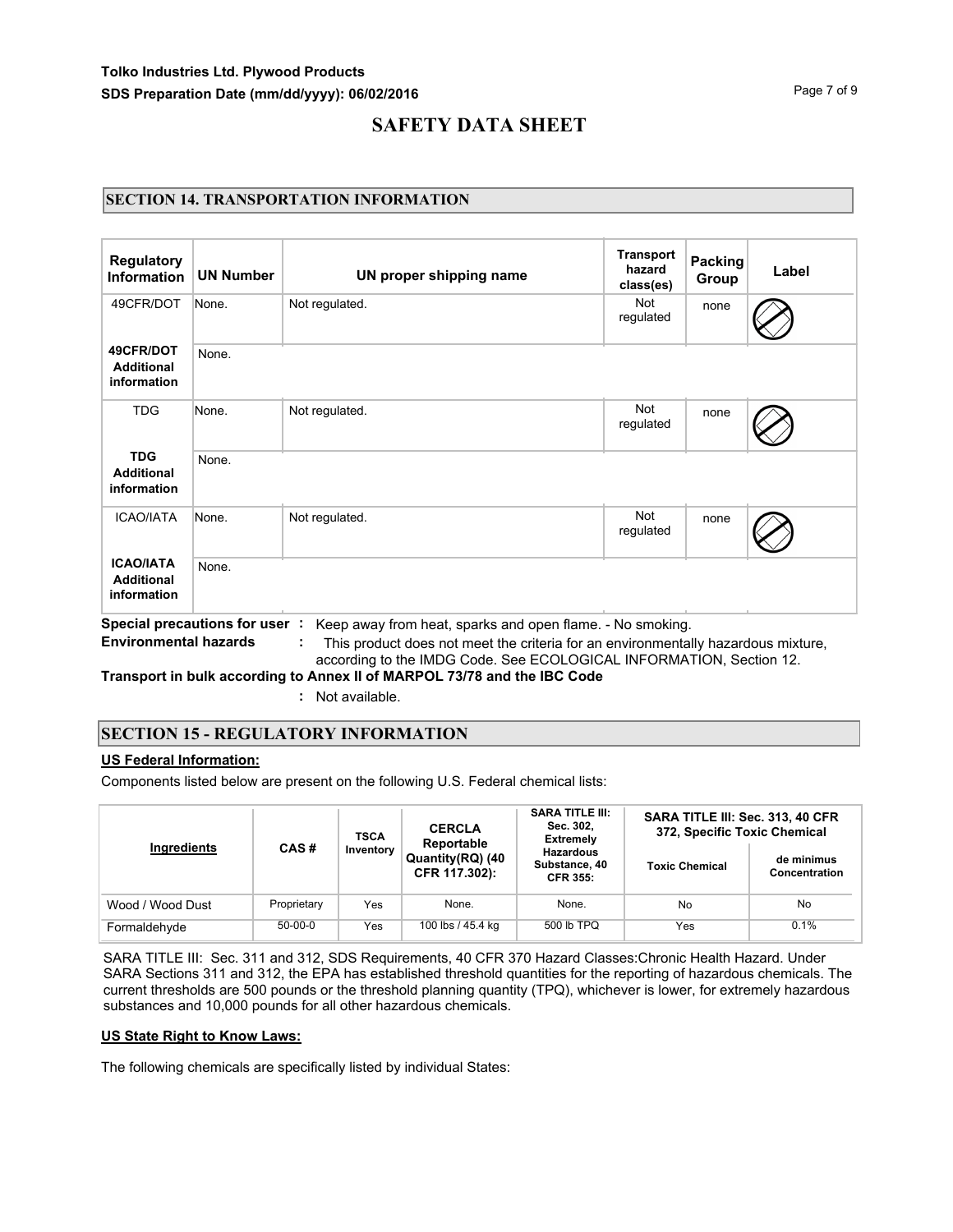## **SECTION 14. TRANSPORTATION INFORMATION**

| <b>UN Number</b> | UN proper shipping name | <b>Transport</b><br>hazard<br>class(es) | Group | Label          |
|------------------|-------------------------|-----------------------------------------|-------|----------------|
| None.            | Not regulated.          | <b>Not</b><br>regulated                 | none  |                |
| None.            |                         |                                         |       |                |
| None.            | Not regulated.          | Not<br>regulated                        | none  |                |
| None.            |                         |                                         |       |                |
| None.            | Not regulated.          | Not<br>regulated                        | none  |                |
| None.            |                         |                                         |       |                |
|                  |                         |                                         |       | <b>Packing</b> |

according to the IMDG Code. See ECOLOGICAL INFORMATION, Section 12.

**Transport in bulk according to Annex II of MARPOL 73/78 and the IBC Code**

**:** Not available.

### **SECTION 15 - REGULATORY INFORMATION**

#### **US Federal Information:**

Components listed below are present on the following U.S. Federal chemical lists:

|                  | CAS#        | <b>TSCA</b> | <b>CERCLA</b><br>Reportable       | <b>SARA TITLE III:</b><br>Sec. 302.<br>Extremely     | SARA TITLE III: Sec. 313, 40 CFR<br>372, Specific Toxic Chemical |                             |  |
|------------------|-------------|-------------|-----------------------------------|------------------------------------------------------|------------------------------------------------------------------|-----------------------------|--|
| Ingredients      |             | Inventory   | Quantity(RQ) (40<br>CFR 117.302): | <b>Hazardous</b><br>Substance, 40<br><b>CFR 355:</b> | <b>Toxic Chemical</b>                                            | de minimus<br>Concentration |  |
| Wood / Wood Dust | Proprietary | Yes         | None.                             | None.                                                | No                                                               | No                          |  |
| Formaldehyde     | $50-00-0$   | Yes         | 100 lbs / 45.4 kg                 | 500 lb TPQ                                           | Yes                                                              | 0.1%                        |  |

SARA TITLE III: Sec. 311 and 312, SDS Requirements, 40 CFR 370 Hazard Classes:Chronic Health Hazard. Under SARA Sections 311 and 312, the EPA has established threshold quantities for the reporting of hazardous chemicals. The current thresholds are 500 pounds or the threshold planning quantity (TPQ), whichever is lower, for extremely hazardous substances and 10,000 pounds for all other hazardous chemicals.

#### **US State Right to Know Laws:**

The following chemicals are specifically listed by individual States: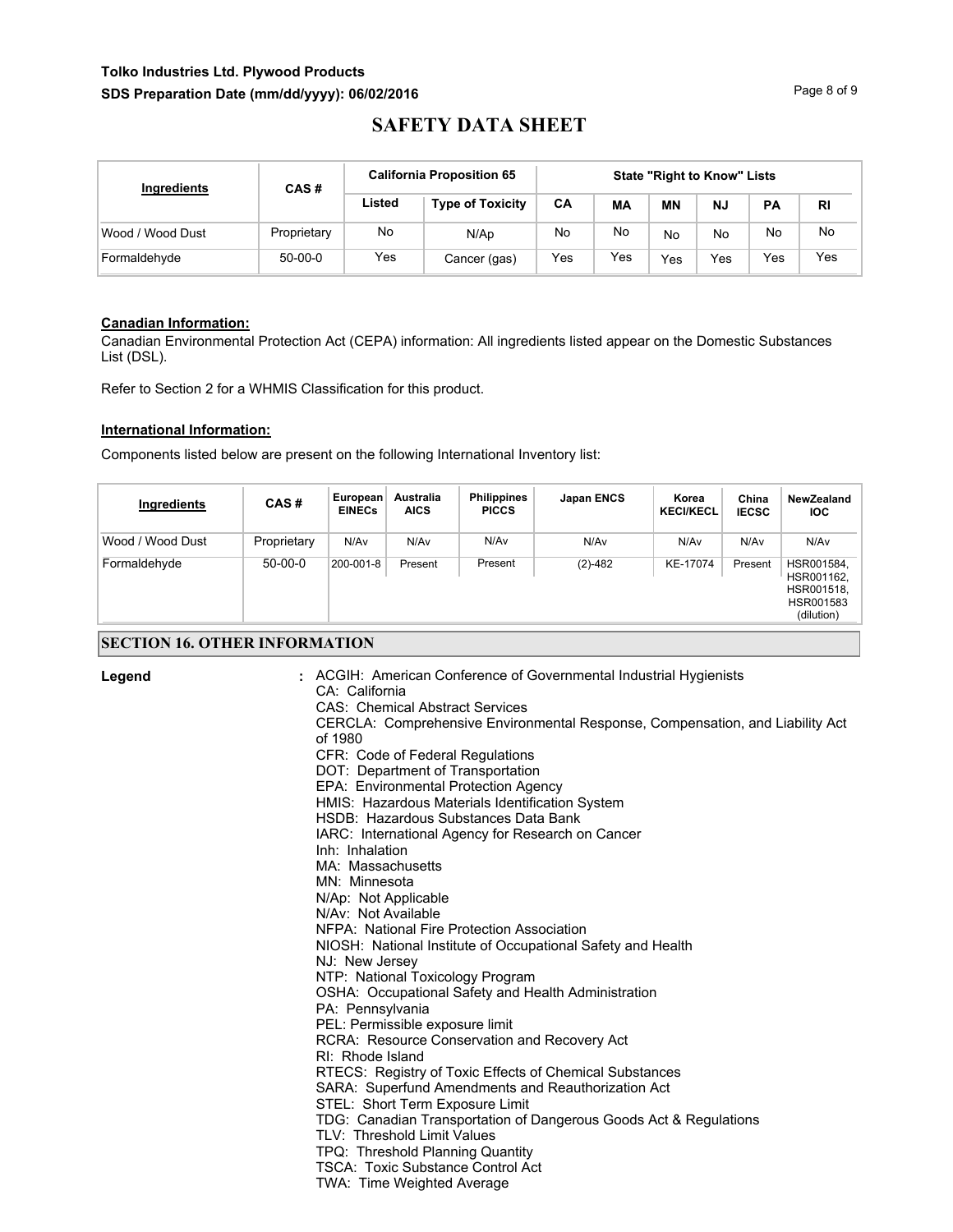## **Tolko Industries Ltd. Plywood Products** SDS Preparation Date (mm/dd/yyyy): 06/02/2016 **Page 8 of 9** Page 8 of 9

# **SAFETY DATA SHEET**

| Ingredients      | CAS#        | <b>California Proposition 65</b> | <b>State "Right to Know" Lists</b> |           |     |     |           |           |           |
|------------------|-------------|----------------------------------|------------------------------------|-----------|-----|-----|-----------|-----------|-----------|
|                  |             | Listed                           | <b>Type of Toxicity</b>            | <b>CA</b> | МA  | ΜN  | <b>NJ</b> | <b>PA</b> | <b>RI</b> |
| Wood / Wood Dust | Proprietary | No                               | N/Ap                               | No        | No  | No  | No        | <b>No</b> | No.       |
| Formaldehyde     | $50-00-0$   | Yes                              | Cancer (gas)                       | Yes       | Yes | Yes | Yes       | Yes       | Yes       |

#### **Canadian Information:**

Canadian Environmental Protection Act (CEPA) information: All ingredients listed appear on the Domestic Substances List (DSL).

Refer to Section 2 for a WHMIS Classification for this product.

#### **International Information:**

Components listed below are present on the following International Inventory list:

| Ingredients      | CAS#        | ∍European ¦<br><b>EINECs</b> | Australia<br><b>AICS</b> | <b>Philippines</b><br><b>PICCS</b> | Japan ENCS | Korea<br><b>KECI/KECL</b> | China<br><b>IECSC</b> | <b>NewZealand</b><br><b>IOC</b>                                   |
|------------------|-------------|------------------------------|--------------------------|------------------------------------|------------|---------------------------|-----------------------|-------------------------------------------------------------------|
| Wood / Wood Dust | Proprietary | N/Av                         | N/Av                     | N/Av                               | N/Av       | N/Av                      | N/Av                  | N/Av                                                              |
| Formaldehyde     | $50-00-0$   | 200-001-8                    | Present                  | Present                            | $(2)-482$  | KE-17074                  | Present               | HSR001584,<br>HSR001162,<br>HSR001518,<br>HSR001583<br>(dilution) |

### **SECTION 16. OTHER INFORMATION**

| Legend | : ACGIH: American Conference of Governmental Industrial Hygienists                       |
|--------|------------------------------------------------------------------------------------------|
|        | CA: California                                                                           |
|        | <b>CAS: Chemical Abstract Services</b>                                                   |
|        | CERCLA: Comprehensive Environmental Response, Compensation, and Liability Act<br>of 1980 |
|        |                                                                                          |
|        | CFR: Code of Federal Regulations                                                         |
|        | DOT: Department of Transportation                                                        |
|        | EPA: Environmental Protection Agency                                                     |
|        | HMIS: Hazardous Materials Identification System                                          |
|        | HSDB: Hazardous Substances Data Bank                                                     |
|        | IARC: International Agency for Research on Cancer                                        |
|        | Inh: Inhalation                                                                          |
|        | MA: Massachusetts                                                                        |
|        | MN: Minnesota                                                                            |
|        | N/Ap: Not Applicable<br>N/Av: Not Available                                              |
|        | NFPA: National Fire Protection Association                                               |
|        |                                                                                          |
|        | NIOSH: National Institute of Occupational Safety and Health                              |
|        | NJ: New Jersey<br>NTP: National Toxicology Program                                       |
|        |                                                                                          |
|        | OSHA: Occupational Safety and Health Administration                                      |
|        | PA: Pennsylvania<br>PEL: Permissible exposure limit                                      |
|        | RCRA: Resource Conservation and Recovery Act                                             |
|        | RI: Rhode Island                                                                         |
|        | RTECS: Registry of Toxic Effects of Chemical Substances                                  |
|        | SARA: Superfund Amendments and Reauthorization Act                                       |
|        | STEL: Short Term Exposure Limit                                                          |
|        | TDG: Canadian Transportation of Dangerous Goods Act & Regulations                        |
|        | TLV: Threshold Limit Values                                                              |
|        | TPQ: Threshold Planning Quantity                                                         |
|        | <b>TSCA: Toxic Substance Control Act</b>                                                 |
|        | TWA: Time Weighted Average                                                               |
|        |                                                                                          |